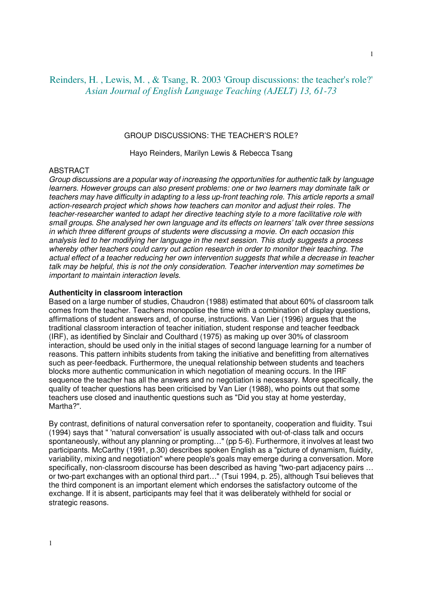# Reinders, H. , Lewis, M. , & Tsang, R. 2003 'Group discussions: the teacher's role?' *Asian Journal of English Language Teaching (AJELT) 13, 61-73*

### GROUP DISCUSSIONS: THE TEACHER'S ROLE?

Hayo Reinders, Marilyn Lewis & Rebecca Tsang

### ABSTRACT

Group discussions are a popular way of increasing the opportunities for authentic talk by language learners. However groups can also present problems: one or two learners may dominate talk or teachers may have difficulty in adapting to a less up-front teaching role. This article reports a small action-research project which shows how teachers can monitor and adjust their roles. The teacher-researcher wanted to adapt her directive teaching style to a more facilitative role with small groups. She analysed her own language and its effects on learners' talk over three sessions in which three different groups of students were discussing a movie. On each occasion this analysis led to her modifying her language in the next session. This study suggests a process whereby other teachers could carry out action research in order to monitor their teaching. The actual effect of a teacher reducing her own intervention suggests that while a decrease in teacher talk may be helpful, this is not the only consideration. Teacher intervention may sometimes be important to maintain interaction levels.

# **Authenticity in classroom interaction**

Based on a large number of studies, Chaudron (1988) estimated that about 60% of classroom talk comes from the teacher. Teachers monopolise the time with a combination of display questions, affirmations of student answers and, of course, instructions. Van Lier (1996) argues that the traditional classroom interaction of teacher initiation, student response and teacher feedback (IRF), as identified by Sinclair and Coulthard (1975) as making up over 30% of classroom interaction, should be used only in the initial stages of second language learning for a number of reasons. This pattern inhibits students from taking the initiative and benefitting from alternatives such as peer-feedback. Furthermore, the unequal relationship between students and teachers blocks more authentic communication in which negotiation of meaning occurs. In the IRF sequence the teacher has all the answers and no negotiation is necessary. More specifically, the quality of teacher questions has been criticised by Van Lier (1988), who points out that some teachers use closed and inauthentic questions such as "Did you stay at home yesterday, Martha?".

By contrast, definitions of natural conversation refer to spontaneity, cooperation and fluidity. Tsui (1994) says that " 'natural conversation' is usually associated with out-of-class talk and occurs spontaneously, without any planning or prompting…" (pp 5-6). Furthermore, it involves at least two participants. McCarthy (1991, p.30) describes spoken English as a "picture of dynamism, fluidity, variability, mixing and negotiation" where people's goals may emerge during a conversation. More specifically, non-classroom discourse has been described as having "two-part adjacency pairs … or two-part exchanges with an optional third part…" (Tsui 1994, p. 25), although Tsui believes that the third component is an important element which endorses the satisfactory outcome of the exchange. If it is absent, participants may feel that it was deliberately withheld for social or strategic reasons.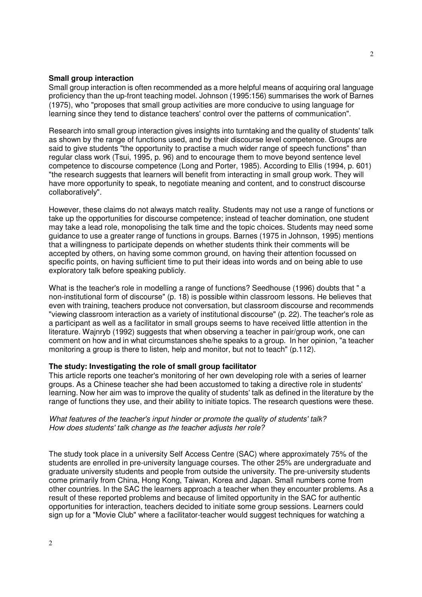### **Small group interaction**

Small group interaction is often recommended as a more helpful means of acquiring oral language proficiency than the up-front teaching model. Johnson (1995:156) summarises the work of Barnes (1975), who "proposes that small group activities are more conducive to using language for learning since they tend to distance teachers' control over the patterns of communication".

Research into small group interaction gives insights into turntaking and the quality of students' talk as shown by the range of functions used, and by their discourse level competence. Groups are said to give students "the opportunity to practise a much wider range of speech functions" than regular class work (Tsui, 1995, p. 96) and to encourage them to move beyond sentence level competence to discourse competence (Long and Porter, 1985). According to Ellis (1994, p. 601) "the research suggests that learners will benefit from interacting in small group work. They will have more opportunity to speak, to negotiate meaning and content, and to construct discourse collaboratively".

However, these claims do not always match reality. Students may not use a range of functions or take up the opportunities for discourse competence; instead of teacher domination, one student may take a lead role, monopolising the talk time and the topic choices. Students may need some guidance to use a greater range of functions in groups. Barnes (1975 in Johnson, 1995) mentions that a willingness to participate depends on whether students think their comments will be accepted by others, on having some common ground, on having their attention focussed on specific points, on having sufficient time to put their ideas into words and on being able to use exploratory talk before speaking publicly.

What is the teacher's role in modelling a range of functions? Seedhouse (1996) doubts that " a non-institutional form of discourse" (p. 18) is possible within classroom lessons. He believes that even with training, teachers produce not conversation, but classroom discourse and recommends "viewing classroom interaction as a variety of institutional discourse" (p. 22). The teacher's role as a participant as well as a facilitator in small groups seems to have received little attention in the literature. Wajnryb (1992) suggests that when observing a teacher in pair/group work, one can comment on how and in what circumstances she/he speaks to a group. In her opinion, "a teacher monitoring a group is there to listen, help and monitor, but not to teach" (p.112).

# **The study: Investigating the role of small group facilitator**

This article reports one teacher's monitoring of her own developing role with a series of learner groups. As a Chinese teacher she had been accustomed to taking a directive role in students' learning. Now her aim was to improve the quality of students' talk as defined in the literature by the range of functions they use, and their ability to initiate topics. The research questions were these.

### What features of the teacher's input hinder or promote the quality of students' talk? How does students' talk change as the teacher adjusts her role?

The study took place in a university Self Access Centre (SAC) where approximately 75% of the students are enrolled in pre-university language courses. The other 25% are undergraduate and graduate university students and people from outside the university. The pre-university students come primarily from China, Hong Kong, Taiwan, Korea and Japan. Small numbers come from other countries. In the SAC the learners approach a teacher when they encounter problems. As a result of these reported problems and because of limited opportunity in the SAC for authentic opportunities for interaction, teachers decided to initiate some group sessions. Learners could sign up for a "Movie Club" where a facilitator-teacher would suggest techniques for watching a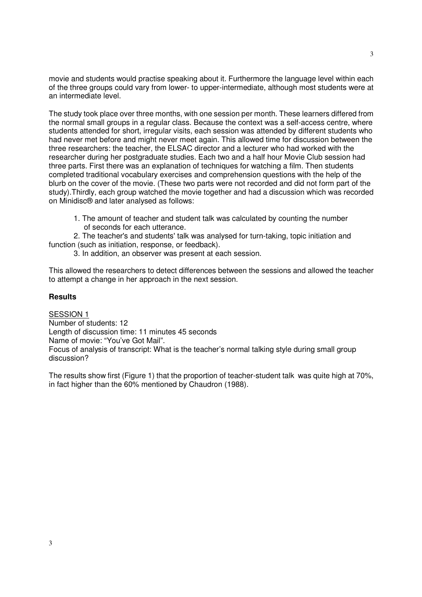movie and students would practise speaking about it. Furthermore the language level within each of the three groups could vary from lower- to upper-intermediate, although most students were at an intermediate level.

The study took place over three months, with one session per month. These learners differed from the normal small groups in a regular class. Because the context was a self-access centre, where students attended for short, irregular visits, each session was attended by different students who had never met before and might never meet again. This allowed time for discussion between the three researchers: the teacher, the ELSAC director and a lecturer who had worked with the researcher during her postgraduate studies. Each two and a half hour Movie Club session had three parts. First there was an explanation of techniques for watching a film. Then students completed traditional vocabulary exercises and comprehension questions with the help of the blurb on the cover of the movie. (These two parts were not recorded and did not form part of the study).Thirdly, each group watched the movie together and had a discussion which was recorded on Minidisc® and later analysed as follows:

 1. The amount of teacher and student talk was calculated by counting the number of seconds for each utterance.

 2. The teacher's and students' talk was analysed for turn-taking, topic initiation and function (such as initiation, response, or feedback).

3. In addition, an observer was present at each session.

This allowed the researchers to detect differences between the sessions and allowed the teacher to attempt a change in her approach in the next session.

# **Results**

SESSION 1 Number of students: 12 Length of discussion time: 11 minutes 45 seconds Name of movie: "You've Got Mail". Focus of analysis of transcript: What is the teacher's normal talking style during small group discussion?

The results show first (Figure 1) that the proportion of teacher-student talk was quite high at 70%, in fact higher than the 60% mentioned by Chaudron (1988).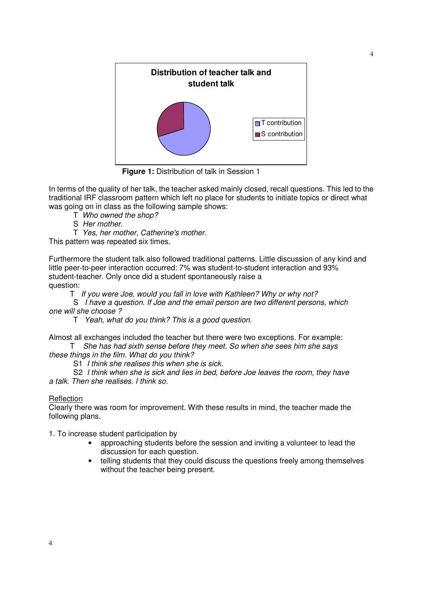

**Figure 1:** Distribution of talk in Session 1

In terms of the quality of her talk, the teacher asked mainly closed, recall questions. This led to the traditional IRF classroom pattern which left no place for students to initiate topics or direct what was going on in class as the following sample shows:

- T Who owned the shop?
- S Her mother.
- T Yes, her mother, Catherine's mother.

This pattern was repeated six times.

Furthermore the student talk also followed traditional patterns. Little discussion of any kind and little peer-to-peer interaction occurred: 7% was student-to-student interaction and 93% student-teacher. Only once did a student spontaneously raise a question:

T If you were Joe, would you fall in love with Kathleen? Why or why not?

 S I have a question. If Joe and the email person are two different persons, which one will she choose ?

T Yeah, what do you think? This is a good question.

Almost all exchanges included the teacher but there were two exceptions. For example: T She has had sixth sense before they meet. So when she sees him she says

these things in the film. What do you think?

S1 I think she realises this when she is sick.

 S2 I think when she is sick and lies in bed, before Joe leaves the room, they have a talk. Then she realises. I think so.

# **Reflection**

Clearly there was room for improvement. With these results in mind, the teacher made the following plans.

1. To increase student participation by

- approaching students before the session and inviting a volunteer to lead the discussion for each question.
- telling students that they could discuss the questions freely among themselves without the teacher being present.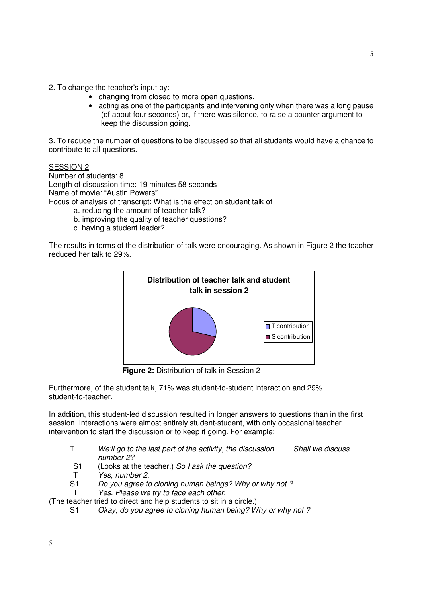- 2. To change the teacher's input by:
	- changing from closed to more open questions.
	- acting as one of the participants and intervening only when there was a long pause (of about four seconds) or, if there was silence, to raise a counter argument to keep the discussion going.

3. To reduce the number of questions to be discussed so that all students would have a chance to contribute to all questions.

SESSION 2

Number of students: 8 Length of discussion time: 19 minutes 58 seconds Name of movie: "Austin Powers". Focus of analysis of transcript: What is the effect on student talk of

- a. reducing the amount of teacher talk?
- b. improving the quality of teacher questions?
- c. having a student leader?

The results in terms of the distribution of talk were encouraging. As shown in Figure 2 the teacher reduced her talk to 29%.



**Figure 2:** Distribution of talk in Session 2

Furthermore, of the student talk, 71% was student-to-student interaction and 29% student-to-teacher.

In addition, this student-led discussion resulted in longer answers to questions than in the first session. Interactions were almost entirely student-student, with only occasional teacher intervention to start the discussion or to keep it going. For example:

- T We'll go to the last part of the activity, the discussion. ……Shall we discuss number 2?
- S1 (Looks at the teacher.) So I ask the question?
- T Yes, number 2.
- S1 Do you agree to cloning human beings? Why or why not ?
- T Yes. Please we try to face each other.

(The teacher tried to direct and help students to sit in a circle.)

S1 Okay, do you agree to cloning human being? Why or why not ?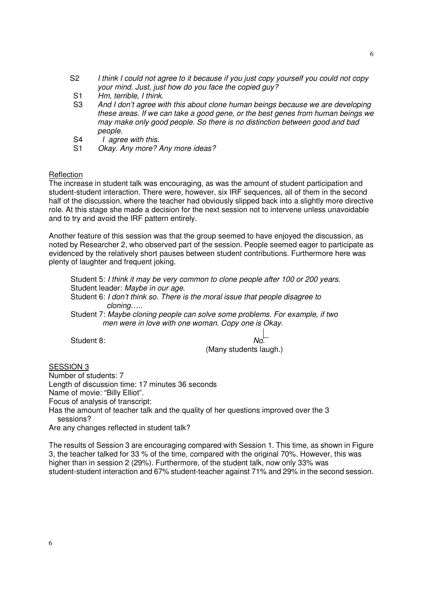- S2 I think I could not agree to it because if you just copy yourself you could not copy your mind. Just, just how do you face the copied guy?
- S1 Hm, terrible, I think.
- S3 And I don't agree with this about clone human beings because we are developing these areas. If we can take a good gene, or the best genes from human beings we may make only good people. So there is no distinction between good and bad people.
- S4 *I* agree with this.
- S1 Okay. Any more? Any more ideas?

### **Reflection**

The increase in student talk was encouraging, as was the amount of student participation and student-student interaction. There were, however, six IRF sequences, all of them in the second half of the discussion, where the teacher had obviously slipped back into a slightly more directive role. At this stage she made a decision for the next session not to intervene unless unavoidable and to try and avoid the IRF pattern entirely.

Another feature of this session was that the group seemed to have enjoyed the discussion, as noted by Researcher 2, who observed part of the session. People seemed eager to participate as evidenced by the relatively short pauses between student contributions. Furthermore here was plenty of laughter and frequent joking.

Student 5: I think it may be very common to clone people after 100 or 200 years. Student leader: Maybe in our age. Student 6: I don't think so. There is the moral issue that people disagree to cloning….. Student 7: Maybe cloning people can solve some problems. For example, if two men were in love with one woman. Copy one is Okay.

Student 8:

(Many students laugh.)

SESSION 3

Number of students: 7

Length of discussion time: 17 minutes 36 seconds

Name of movie: "Billy Elliot".

Focus of analysis of transcript:

Has the amount of teacher talk and the quality of her questions improved over the 3 sessions?

Are any changes reflected in student talk?

The results of Session 3 are encouraging compared with Session 1. This time, as shown in Figure 3, the teacher talked for 33 % of the time, compared with the original 70%. However, this was higher than in session 2 (29%). Furthermore, of the student talk, now only 33% was student-student interaction and 67% student-teacher against 71% and 29% in the second session.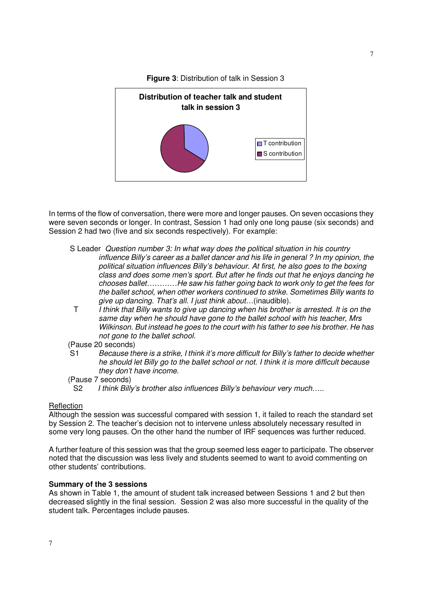

**Figure 3**: Distribution of talk in Session 3

In terms of the flow of conversation, there were more and longer pauses. On seven occasions they were seven seconds or longer. In contrast, Session 1 had only one long pause (six seconds) and Session 2 had two (five and six seconds respectively). For example:

- S Leader Question number 3: In what way does the political situation in his country influence Billy's career as a ballet dancer and his life in general ? In my opinion, the political situation influences Billy's behaviour. At first, he also goes to the boxing class and does some men's sport. But after he finds out that he enjoys dancing he chooses ballet…………He saw his father going back to work only to get the fees for the ballet school, when other workers continued to strike. Sometimes Billy wants to give up dancing. That's all. I just think about…(inaudible).
- T I think that Billy wants to give up dancing when his brother is arrested. It is on the same day when he should have gone to the ballet school with his teacher, Mrs Wilkinson. But instead he goes to the court with his father to see his brother. He has not gone to the ballet school.
- (Pause 20 seconds)
- S1 Because there is a strike, I think it's more difficult for Billy's father to decide whether he should let Billy go to the ballet school or not. I think it is more difficult because they don't have income.
- (Pause 7 seconds)

#### **Reflection**

Although the session was successful compared with session 1, it failed to reach the standard set by Session 2. The teacher's decision not to intervene unless absolutely necessary resulted in some very long pauses. On the other hand the number of IRF sequences was further reduced.

A further feature of this session was that the group seemed less eager to participate. The observer noted that the discussion was less lively and students seemed to want to avoid commenting on other students' contributions.

## **Summary of the 3 sessions**

As shown in Table 1, the amount of student talk increased between Sessions 1 and 2 but then decreased slightly in the final session. Session 2 was also more successful in the quality of the student talk. Percentages include pauses.

S2 I think Billy's brother also influences Billy's behaviour very much.....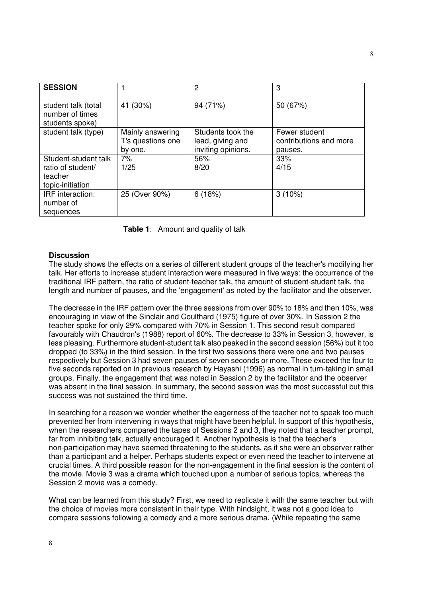| <b>SESSION</b>                                            |                                                  | 2                                                           | 3                                                  |
|-----------------------------------------------------------|--------------------------------------------------|-------------------------------------------------------------|----------------------------------------------------|
| student talk (total<br>number of times<br>students spoke) | 41 (30%)                                         | 94 (71%)                                                    | 50 (67%)                                           |
| student talk (type)                                       | Mainly answering<br>T's questions one<br>by one. | Students took the<br>lead, giving and<br>inviting opinions. | Fewer student<br>contributions and more<br>pauses. |
| Student-student talk                                      | 7%                                               | 56%                                                         | 33%                                                |
| ratio of student/<br>teacher<br>topic-initiation          | 1/25                                             | 8/20                                                        | 4/15                                               |
| IRF interaction:<br>number of<br>sequences                | 25 (Over 90%)                                    | 6(18%)                                                      | $3(10\%)$                                          |

**Table 1**:Amount and quality of talk

### **Discussion**

The study shows the effects on a series of different student groups of the teacher's modifying her talk. Her efforts to increase student interaction were measured in five ways: the occurrence of the traditional IRF pattern, the ratio of student-teacher talk, the amount of student-student talk, the length and number of pauses, and the 'engagement' as noted by the facilitator and the observer.

The decrease in the IRF pattern over the three sessions from over 90% to 18% and then 10%, was encouraging in view of the Sinclair and Coulthard (1975) figure of over 30%. In Session 2 the teacher spoke for only 29% compared with 70% in Session 1. This second result compared favourably with Chaudron's (1988) report of 60%. The decrease to 33% in Session 3, however, is less pleasing. Furthermore student-student talk also peaked in the second session (56%) but it too dropped (to 33%) in the third session. In the first two sessions there were one and two pauses respectively but Session 3 had seven pauses of seven seconds or more. These exceed the four to five seconds reported on in previous research by Hayashi (1996) as normal in turn-taking in small groups. Finally, the engagement that was noted in Session 2 by the facilitator and the observer was absent in the final session. In summary, the second session was the most successful but this success was not sustained the third time.

In searching for a reason we wonder whether the eagerness of the teacher not to speak too much prevented her from intervening in ways that might have been helpful. In support of this hypothesis, when the researchers compared the tapes of Sessions 2 and 3, they noted that a teacher prompt, far from inhibiting talk, actually encouraged it. Another hypothesis is that the teacher's non-participation may have seemed threatening to the students, as if she were an observer rather than a participant and a helper. Perhaps students expect or even need the teacher to intervene at crucial times. A third possible reason for the non-engagement in the final session is the content of the movie. Movie 3 was a drama which touched upon a number of serious topics, whereas the Session 2 movie was a comedy.

What can be learned from this study? First, we need to replicate it with the same teacher but with the choice of movies more consistent in their type. With hindsight, it was not a good idea to compare sessions following a comedy and a more serious drama. (While repeating the same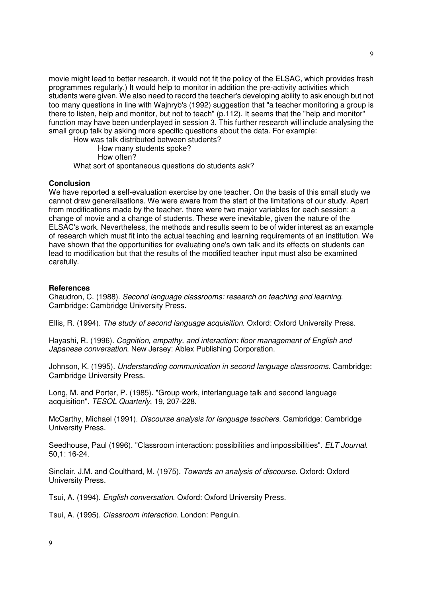movie might lead to better research, it would not fit the policy of the ELSAC, which provides fresh programmes regularly.) It would help to monitor in addition the pre-activity activities which students were given. We also need to record the teacher's developing ability to ask enough but not too many questions in line with Wajnryb's (1992) suggestion that "a teacher monitoring a group is there to listen, help and monitor, but not to teach" (p.112). It seems that the "help and monitor" function may have been underplayed in session 3. This further research will include analysing the small group talk by asking more specific questions about the data. For example:

How was talk distributed between students?

How many students spoke?

How often?

What sort of spontaneous questions do students ask?

### **Conclusion**

We have reported a self-evaluation exercise by one teacher. On the basis of this small study we cannot draw generalisations. We were aware from the start of the limitations of our study. Apart from modifications made by the teacher, there were two major variables for each session: a change of movie and a change of students. These were inevitable, given the nature of the ELSAC's work. Nevertheless, the methods and results seem to be of wider interest as an example of research which must fit into the actual teaching and learning requirements of an institution. We have shown that the opportunities for evaluating one's own talk and its effects on students can lead to modification but that the results of the modified teacher input must also be examined carefully.

### **References**

Chaudron, C. (1988). Second language classrooms: research on teaching and learning. Cambridge: Cambridge University Press.

Ellis, R. (1994). The study of second language acquisition. Oxford: Oxford University Press.

Hayashi, R. (1996). Cognition, empathy, and interaction: floor management of English and Japanese conversation. New Jersey: Ablex Publishing Corporation.

Johnson, K. (1995). Understanding communication in second language classrooms. Cambridge: Cambridge University Press.

Long, M. and Porter, P. (1985). "Group work, interlanguage talk and second language acquisition". TESOL Quarterly, 19, 207-228.

McCarthy, Michael (1991). Discourse analysis for language teachers. Cambridge: Cambridge University Press.

Seedhouse, Paul (1996). "Classroom interaction: possibilities and impossibilities". ELT Journal. 50,1: 16-24.

Sinclair, J.M. and Coulthard, M. (1975). Towards an analysis of discourse. Oxford: Oxford University Press.

Tsui, A. (1994). English conversation. Oxford: Oxford University Press.

Tsui, A. (1995). Classroom interaction. London: Penguin.